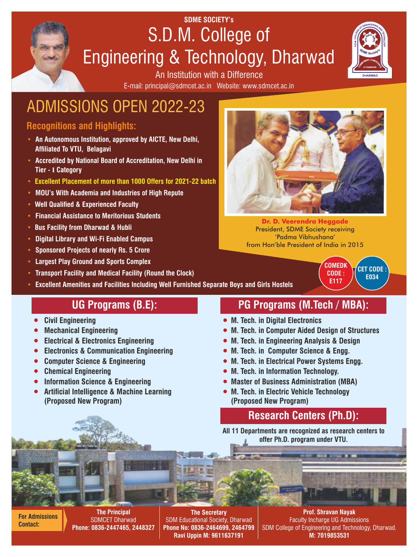# **SDME SOCIETY's** S.D.M. College of Engineering & Technology, Dharwad



E-mail: principal@sdmcet.ac.in Website: www.sdmcet.ac.in An Institution with a Difference

# ADMISSIONS OPEN 2022-23

### **Recognitions and Highlights:**

- **An Autonomous Institution, approved by AICTE, New Delhi, Affiliated To VTU, Belagavi**
- **Accredited by National Board of Accreditation, New Delhi in Tier - I Category**
- **Excellent Placement of more than 1000 Offers for 2021-22 batch**
- **MOU's With Academia and Industries of High Repute**
- **Well Qualified & Experienced Faculty**
- **Financial Assistance to Meritorious Students**
- **Bus Facility from Dharwad & Hubli**
- **Digital Library and Wi-Fi Enabled Campus**
- **Sponsored Projects of nearly Rs. 5 Crore**
- **Largest Play Ground and Sports Complex**
- **Transport Facility and Medical Facility (Round the Clock)**
- **Excellent Amenities and Facilities Including Well Furnished Separate Boys and Girls Hostels**

- 1 **Civil Engineering**
- 1 **Mechanical Engineering**
- 1 **Electrical & Electronics Engineering**
- 1 **Electronics & Communication Engineering**
- 1 **Computer Science & Engineering**
- 1 **Chemical Engineering**
- 1 **Information Science & Engineering**
- 1 **Articial Intelligence & Machine Learning (Proposed New Program)**

# **UG Programs (B.E): PG Programs (M.Tech / MBA):**

- 1 **M. Tech. in Digital Electronics**
- 1 **M. Tech. in Computer Aided Design of Structures**
- 1 **M. Tech. in Engineering Analysis & Design**
- 1 **M. Tech. in Computer Science & Engg.**
- 1 **M. Tech. in Electrical Power Systems Engg.**
- 1 **M. Tech. in Information Technology.**
- 1 **Master of Business Administration (MBA)**
- 1 **M. Tech. in Electric Vehicle Technology (Proposed New Program)**

# **Research Centers (Ph.D):**

**All 11 Departments are recognized as research centers to offer Ph.D. program under VTU.**

**For Admissions Contact:**

**The Principal** SDMCET Dharwad **Phone: 0836-2447465, 2448327**

**The Secretary**  SDM Educational Society, Dharwad **Phone No: 0836-2464699, 2464799 Ravi Uppin M: 9611637191**

**Prof. Shravan Nayak** Faculty Incharge UG Admissions SDM College of Engineering and Technology, Dharwad. **M: 7019853531**



**Dr. D. Veerendra Heggade** President, SDME Society receiving 'Padma Vibhushana' from Hon'ble President of India in 2015

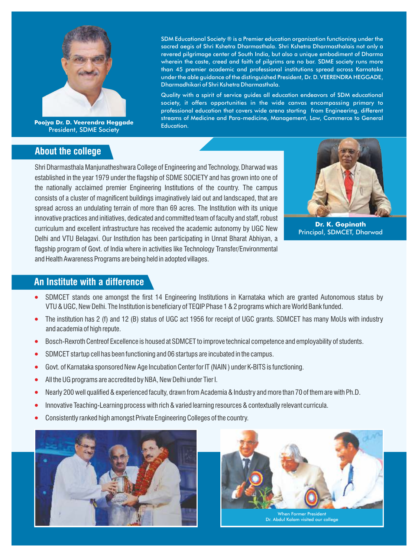

**Poojya Dr. D. Veerendra Heggade** President, SDME Society

#### **About the college**

SDM Educational Society ® is a Premier education organization functioning under the sacred aegis of Shri Kshetra Dharmasthala. Shri Kshetra Dharmasthalais not only a revered pilgrimage center of South India, but also a unique embodiment of Dharma wherein the caste, creed and faith of pilgrims are no bar. SDME society runs more than 45 premier academic and professional institutions spread across Karnataka under the able guidance of the distinguished President, Dr. D. VEERENDRA HEGGADE, Dharmadhikari of Shri Kshetra Dharmasthala.

Quality with a spirit of service guides all education endeavors of SDM educational society, it offers opportunities in the wide canvas encompassing primary to professional education that covers wide arena starting from Engineering, different streams of Medicine and Para-medicine, Management, Law, Commerce to General Education.

Shri Dharmasthala Manjunatheshwara College of Engineering and Technology, Dharwad was established in the year 1979 under the flagship of SDME SOCIETY and has grown into one of the nationally acclaimed premier Engineering Institutions of the country. The campus consists of a cluster of magnificent buildings imaginatively laid out and landscaped, that are spread across an undulating terrain of more than 69 acres. The Institution with its unique innovative practices and initiatives, dedicated and committed team of faculty and staff, robust curriculum and excellent infrastructure has received the academic autonomy by UGC New Delhi and VTU Belagavi. Our Institution has been participating in Unnat Bharat Abhiyan, a flagship program of Govt. of India where in activities like Technology Transfer/Environmental and Health Awareness Programs are being held in adopted villages.



**Dr. K. Gopinath** Principal, SDMCET, Dharwad

#### **An Institute with a difference**

- SDMCET stands one amongst the first 14 Engineering Institutions in Karnataka which are granted Autonomous status by VTU & UGC, New Delhi. The Institution is beneficiary of TEQIP Phase 1 & 2 programs which are World Bank funded.
- 1 The institution has 2 (f) and 12 (B) status of UGC act 1956 for receipt of UGC grants. SDMCET has many MoUs with industry and academia of high repute.
- 1 Bosch-Rexroth Centreof Excellence is housed at SDMCET to improve technical competence and employability of students.
- SDMCET startup cell has been functioning and 06 startups are incubated in the campus.
- Govt. of Karnataka sponsored New Age Incubation Center for IT (NAIN) under K-BITS is functioning.
- All the UG programs are accredited by NBA, New Delhi under Tier I.
- Nearly 200 well qualified & experienced faculty, drawn from Academia & Industry and more than 70 of them are with Ph.D.
- Innovative Teaching-Learning process with rich & varied learning resources & contextually relevant curricula.
- 1 Consistently ranked high amongst Private Engineering Colleges of the country.





Dr. Abdul Kalam visited our college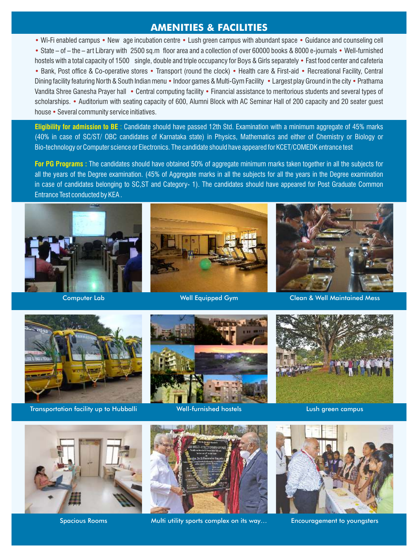### **AMENITIES & FACILITIES**

• Wi-Fi enabled campus • New age incubation centre • Lush green campus with abundant space • Guidance and counseling cell • State – of – the – art Library with 2500 sq.m floor area and a collection of over 60000 books & 8000 e-journals • Well-furnished hostels with a total capacity of 1500 single, double and triple occupancy for Boys & Girls separately • Fast food center and cafeteria • Bank, Post office & Co-operative stores • Transport (round the clock) • Health care & First-aid • Recreational Facility, Central Dining facility featuring North & South Indian menu • Indoor games & Multi-Gym Facility • Largest play Ground in the city • Prathama Vandita Shree Ganesha Prayer hall • Central computing facility • Financial assistance to meritorious students and several types of scholarships. • Auditorium with seating capacity of 600, Alumni Block with AC Seminar Hall of 200 capacity and 20 seater guest house • Several community service initiatives.

**Eligibility for admission to BE** : Candidate should have passed 12th Std. Examination with a minimum aggregate of 45% marks (40% in case of SC/ST/ OBC candidates of Karnataka state) in Physics, Mathematics and either of Chemistry or Biology or Bio-technology or Computer science or Electronics. The candidate should have appeared for KCET/COMEDK entrance test

**For PG Programs :** The candidates should have obtained 50% of aggregate minimum marks taken together in all the subjects for all the years of the Degree examination. (45% of Aggregate marks in all the subjects for all the years in the Degree examination in case of candidates belonging to SC,ST and Category- 1). The candidates should have appeared for Post Graduate Common Entrance Test conducted by KEA .







Computer Lab Computer Lab Computer Lab Clean & Well Maintained Mess



Transportation facility up to Hubballi **Well-furnished hostels** Lush green campus





Spacious Rooms Multi utility sports complex on its way… Encouragement to youngsters